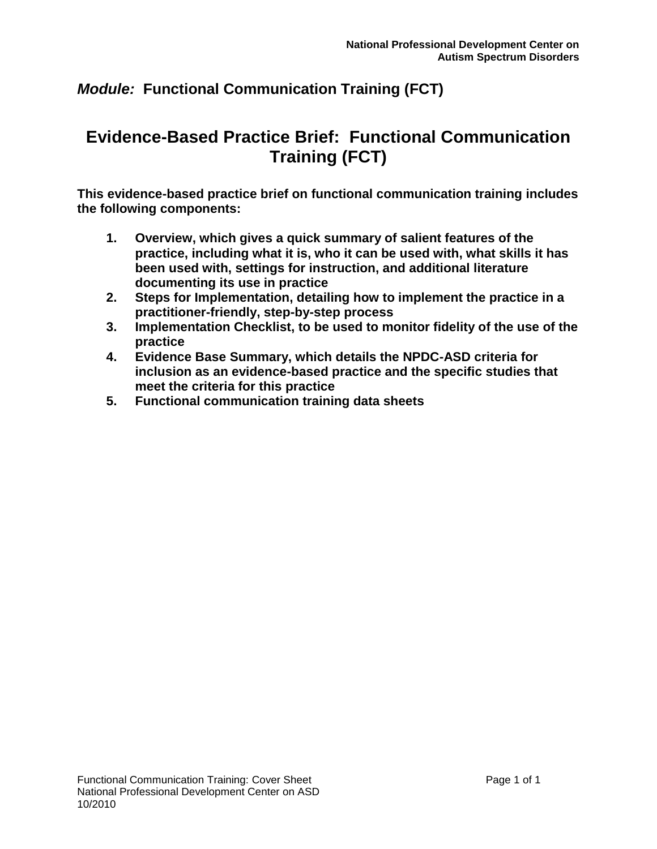# **Evidence-Based Practice Brief: Functional Communication Training (FCT)**

**This evidence-based practice brief on functional communication training includes the following components:**

- **1. Overview, which gives a quick summary of salient features of the practice, including what it is, who it can be used with, what skills it has been used with, settings for instruction, and additional literature documenting its use in practice**
- **2. Steps for Implementation, detailing how to implement the practice in a practitioner-friendly, step-by-step process**
- **3. Implementation Checklist, to be used to monitor fidelity of the use of the practice**
- **4. Evidence Base Summary, which details the NPDC-ASD criteria for inclusion as an evidence-based practice and the specific studies that meet the criteria for this practice**
- **5. Functional communication training data sheets**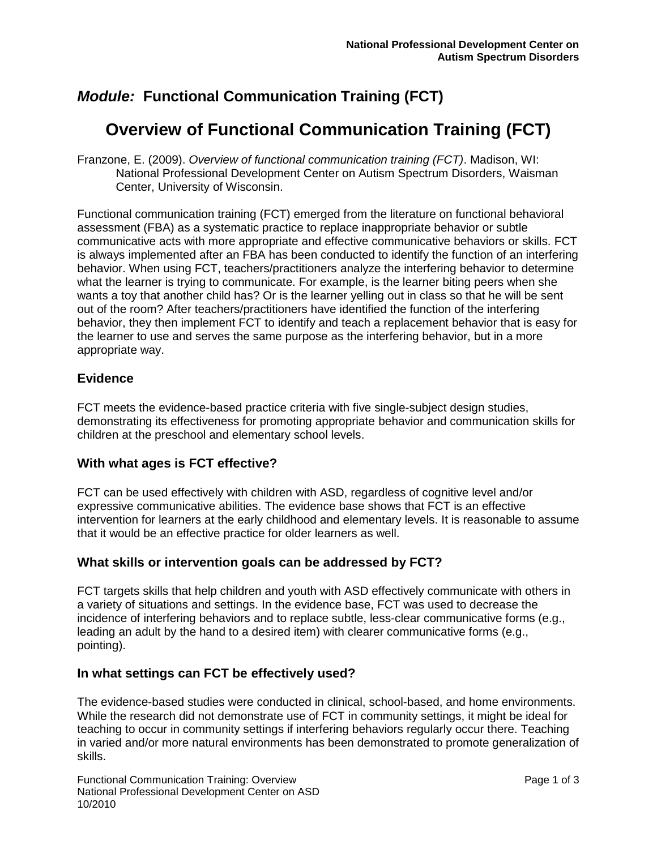# **Overview of Functional Communication Training (FCT)**

Franzone, E. (2009). *Overview of functional communication training (FCT)*. Madison, WI: National Professional Development Center on Autism Spectrum Disorders, Waisman Center, University of Wisconsin.

Functional communication training (FCT) emerged from the literature on functional behavioral assessment (FBA) as a systematic practice to replace inappropriate behavior or subtle communicative acts with more appropriate and effective communicative behaviors or skills. FCT is always implemented after an FBA has been conducted to identify the function of an interfering behavior. When using FCT, teachers/practitioners analyze the interfering behavior to determine what the learner is trying to communicate. For example, is the learner biting peers when she wants a toy that another child has? Or is the learner yelling out in class so that he will be sent out of the room? After teachers/practitioners have identified the function of the interfering behavior, they then implement FCT to identify and teach a replacement behavior that is easy for the learner to use and serves the same purpose as the interfering behavior, but in a more appropriate way.

#### **Evidence**

FCT meets the evidence-based practice criteria with five single-subject design studies, demonstrating its effectiveness for promoting appropriate behavior and communication skills for children at the preschool and elementary school levels.

#### **With what ages is FCT effective?**

FCT can be used effectively with children with ASD, regardless of cognitive level and/or expressive communicative abilities. The evidence base shows that FCT is an effective intervention for learners at the early childhood and elementary levels. It is reasonable to assume that it would be an effective practice for older learners as well.

#### **What skills or intervention goals can be addressed by FCT?**

FCT targets skills that help children and youth with ASD effectively communicate with others in a variety of situations and settings. In the evidence base, FCT was used to decrease the incidence of interfering behaviors and to replace subtle, less-clear communicative forms (e.g., leading an adult by the hand to a desired item) with clearer communicative forms (e.g., pointing).

#### **In what settings can FCT be effectively used?**

The evidence-based studies were conducted in clinical, school-based, and home environments. While the research did not demonstrate use of FCT in community settings, it might be ideal for teaching to occur in community settings if interfering behaviors regularly occur there. Teaching in varied and/or more natural environments has been demonstrated to promote generalization of skills.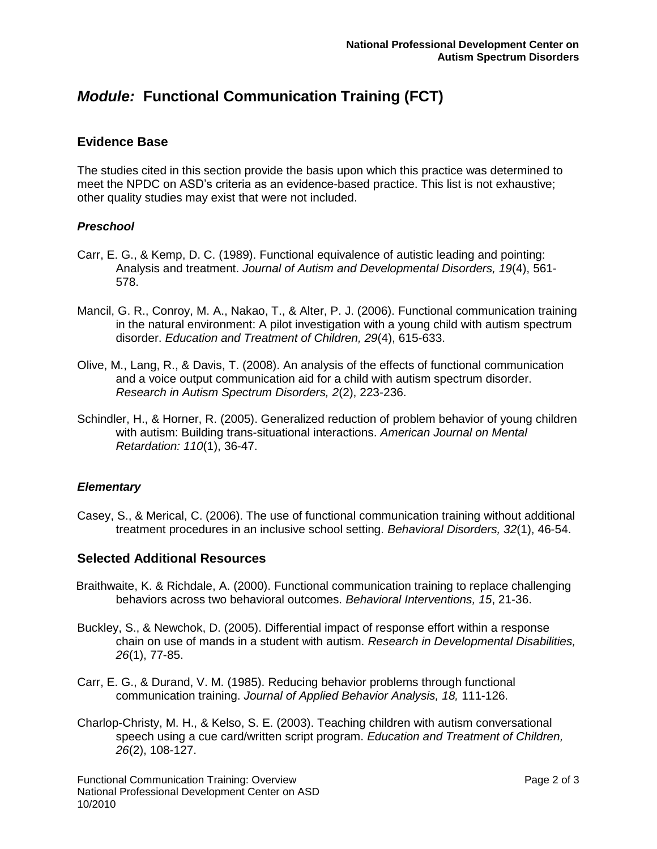#### **Evidence Base**

The studies cited in this section provide the basis upon which this practice was determined to meet the NPDC on ASD's criteria as an evidence-based practice. This list is not exhaustive; other quality studies may exist that were not included.

#### *Preschool*

- Carr, E. G., & Kemp, D. C. (1989). Functional equivalence of autistic leading and pointing: Analysis and treatment. *Journal of Autism and Developmental Disorders, 19*(4), 561- 578.
- Mancil, G. R., Conroy, M. A., Nakao, T., & Alter, P. J. (2006). Functional communication training in the natural environment: A pilot investigation with a young child with autism spectrum disorder. *Education and Treatment of Children, 29*(4), 615-633.
- Olive, M., Lang, R., & Davis, T. (2008). An analysis of the effects of functional communication and a voice output communication aid for a child with autism spectrum disorder. *Research in Autism Spectrum Disorders, 2*(2), 223-236.
- Schindler, H., & Horner, R. (2005). Generalized reduction of problem behavior of young children with autism: Building trans-situational interactions. *American Journal on Mental Retardation: 110*(1), 36-47.

#### *Elementary*

Casey, S., & Merical, C. (2006). The use of functional communication training without additional treatment procedures in an inclusive school setting. *Behavioral Disorders, 32*(1), 46-54.

#### **Selected Additional Resources**

- Braithwaite, K. & Richdale, A. (2000). Functional communication training to replace challenging behaviors across two behavioral outcomes. *Behavioral Interventions, 15*, 21-36.
- Buckley, S., & Newchok, D. (2005). Differential impact of response effort within a response chain on use of mands in a student with autism. *Research in Developmental Disabilities, 26*(1), 77-85.
- Carr, E. G., & Durand, V. M. (1985). Reducing behavior problems through functional communication training. *Journal of Applied Behavior Analysis, 18,* 111-126.
- Charlop-Christy, M. H., & Kelso, S. E. (2003). Teaching children with autism conversational speech using a cue card/written script program. *Education and Treatment of Children, 26*(2), 108-127.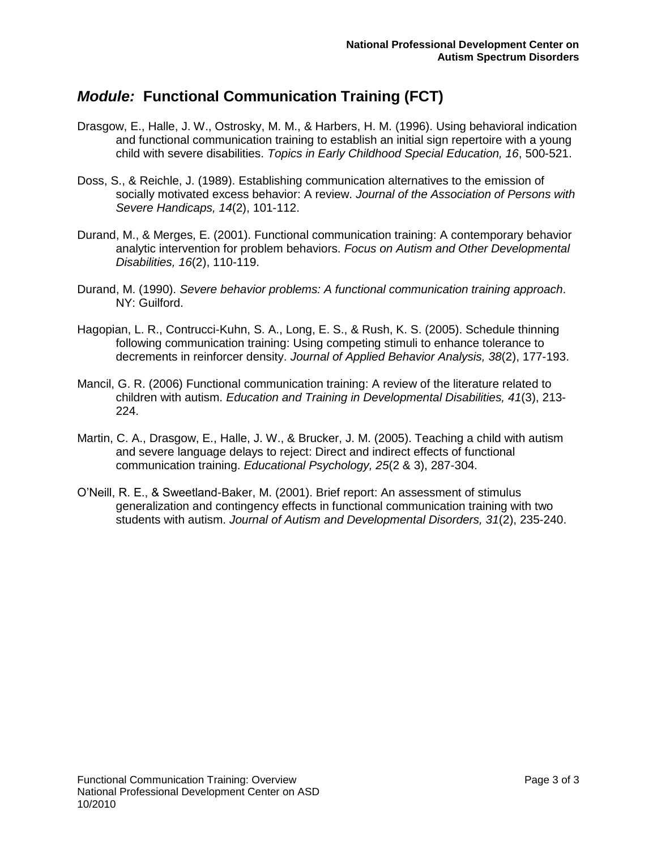- Drasgow, E., Halle, J. W., Ostrosky, M. M., & Harbers, H. M. (1996). Using behavioral indication and functional communication training to establish an initial sign repertoire with a young child with severe disabilities. *Topics in Early Childhood Special Education, 16*, 500-521.
- Doss, S., & Reichle, J. (1989). Establishing communication alternatives to the emission of socially motivated excess behavior: A review. *Journal of the Association of Persons with Severe Handicaps, 14*(2), 101-112.
- Durand, M., & Merges, E. (2001). Functional communication training: A contemporary behavior analytic intervention for problem behaviors. *Focus on Autism and Other Developmental Disabilities, 16*(2), 110-119.
- Durand, M. (1990). *Severe behavior problems: A functional communication training approach*. NY: Guilford.
- Hagopian, L. R., Contrucci-Kuhn, S. A., Long, E. S., & Rush, K. S. (2005). Schedule thinning following communication training: Using competing stimuli to enhance tolerance to decrements in reinforcer density. *Journal of Applied Behavior Analysis, 38*(2), 177-193.
- Mancil, G. R. (2006) Functional communication training: A review of the literature related to children with autism. *Education and Training in Developmental Disabilities, 41*(3), 213- 224.
- Martin, C. A., Drasgow, E., Halle, J. W., & Brucker, J. M. (2005). Teaching a child with autism and severe language delays to reject: Direct and indirect effects of functional communication training. *Educational Psychology, 25*(2 & 3), 287-304.
- O'Neill, R. E., & Sweetland-Baker, M. (2001). Brief report: An assessment of stimulus generalization and contingency effects in functional communication training with two students with autism. *Journal of Autism and Developmental Disorders, 31*(2), 235-240.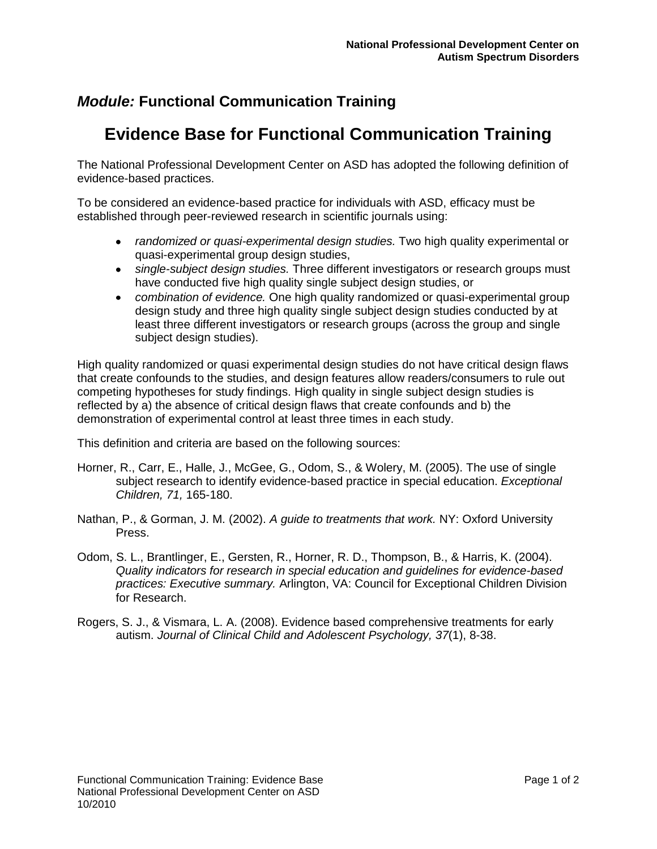# **Evidence Base for Functional Communication Training**

The National Professional Development Center on ASD has adopted the following definition of evidence-based practices.

To be considered an evidence-based practice for individuals with ASD, efficacy must be established through peer-reviewed research in scientific journals using:

- *randomized or quasi-experimental design studies.* Two high quality experimental or quasi-experimental group design studies,
- *single-subject design studies.* Three different investigators or research groups must have conducted five high quality single subject design studies, or
- *combination of evidence.* One high quality randomized or quasi-experimental group design study and three high quality single subject design studies conducted by at least three different investigators or research groups (across the group and single subject design studies).

High quality randomized or quasi experimental design studies do not have critical design flaws that create confounds to the studies, and design features allow readers/consumers to rule out competing hypotheses for study findings. High quality in single subject design studies is reflected by a) the absence of critical design flaws that create confounds and b) the demonstration of experimental control at least three times in each study.

This definition and criteria are based on the following sources:

- Horner, R., Carr, E., Halle, J., McGee, G., Odom, S., & Wolery, M. (2005). The use of single subject research to identify evidence-based practice in special education. *Exceptional Children, 71,* 165-180.
- Nathan, P., & Gorman, J. M. (2002). *A guide to treatments that work.* NY: Oxford University Press.
- Odom, S. L., Brantlinger, E., Gersten, R., Horner, R. D., Thompson, B., & Harris, K. (2004). *Quality indicators for research in special education and guidelines for evidence-based practices: Executive summary.* Arlington, VA: Council for Exceptional Children Division for Research.
- Rogers, S. J., & Vismara, L. A. (2008). Evidence based comprehensive treatments for early autism. *Journal of Clinical Child and Adolescent Psychology, 37*(1), 8-38.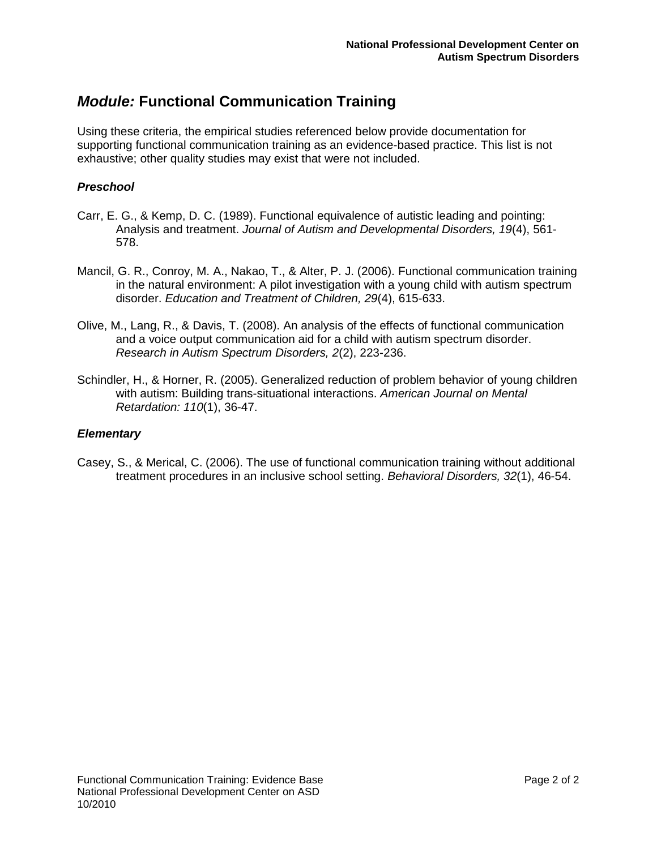Using these criteria, the empirical studies referenced below provide documentation for supporting functional communication training as an evidence-based practice. This list is not exhaustive; other quality studies may exist that were not included.

#### *Preschool*

- Carr, E. G., & Kemp, D. C. (1989). Functional equivalence of autistic leading and pointing: Analysis and treatment. *Journal of Autism and Developmental Disorders, 19*(4), 561- 578.
- Mancil, G. R., Conroy, M. A., Nakao, T., & Alter, P. J. (2006). Functional communication training in the natural environment: A pilot investigation with a young child with autism spectrum disorder. *Education and Treatment of Children, 29*(4), 615-633.
- Olive, M., Lang, R., & Davis, T. (2008). An analysis of the effects of functional communication and a voice output communication aid for a child with autism spectrum disorder. *Research in Autism Spectrum Disorders, 2*(2), 223-236.
- Schindler, H., & Horner, R. (2005). Generalized reduction of problem behavior of young children with autism: Building trans-situational interactions. *American Journal on Mental Retardation: 110*(1), 36-47.

#### *Elementary*

Casey, S., & Merical, C. (2006). The use of functional communication training without additional treatment procedures in an inclusive school setting. *Behavioral Disorders, 32*(1), 46-54.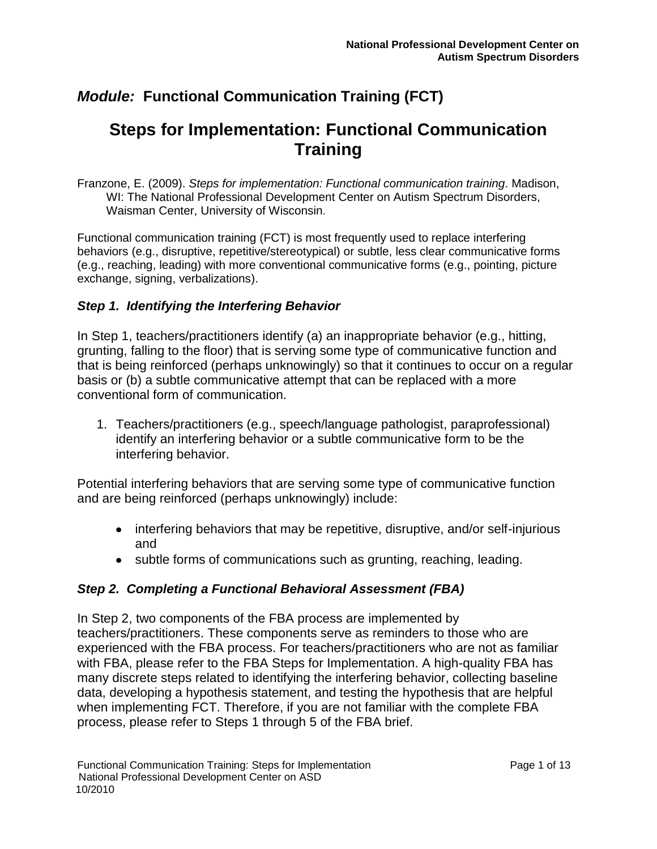# **Steps for Implementation: Functional Communication Training**

Franzone, E. (2009). *Steps for implementation: Functional communication training*. Madison, WI: The National Professional Development Center on Autism Spectrum Disorders, Waisman Center, University of Wisconsin.

Functional communication training (FCT) is most frequently used to replace interfering behaviors (e.g., disruptive, repetitive/stereotypical) or subtle, less clear communicative forms (e.g., reaching, leading) with more conventional communicative forms (e.g., pointing, picture exchange, signing, verbalizations).

### *Step 1. Identifying the Interfering Behavior*

In Step 1, teachers/practitioners identify (a) an inappropriate behavior (e.g., hitting, grunting, falling to the floor) that is serving some type of communicative function and that is being reinforced (perhaps unknowingly) so that it continues to occur on a regular basis or (b) a subtle communicative attempt that can be replaced with a more conventional form of communication.

1. Teachers/practitioners (e.g., speech/language pathologist, paraprofessional) identify an interfering behavior or a subtle communicative form to be the interfering behavior.

Potential interfering behaviors that are serving some type of communicative function and are being reinforced (perhaps unknowingly) include:

- interfering behaviors that may be repetitive, disruptive, and/or self-injurious and
- subtle forms of communications such as grunting, reaching, leading.

### *Step 2. Completing a Functional Behavioral Assessment (FBA)*

In Step 2, two components of the FBA process are implemented by teachers/practitioners. These components serve as reminders to those who are experienced with the FBA process. For teachers/practitioners who are not as familiar with FBA, please refer to the FBA Steps for Implementation. A high-quality FBA has many discrete steps related to identifying the interfering behavior, collecting baseline data, developing a hypothesis statement, and testing the hypothesis that are helpful when implementing FCT. Therefore, if you are not familiar with the complete FBA process, please refer to Steps 1 through 5 of the FBA brief.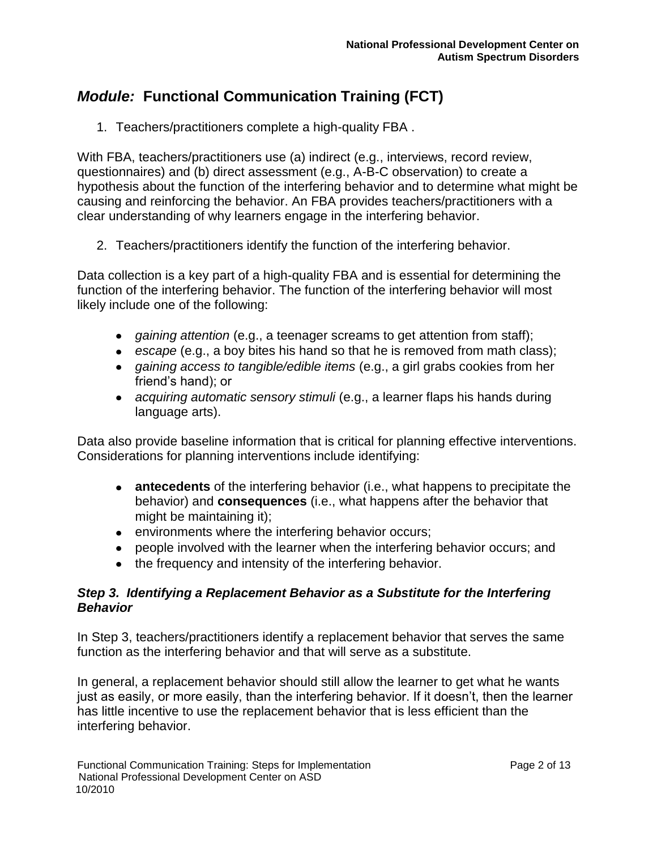1. Teachers/practitioners complete a high-quality FBA .

With FBA, teachers/practitioners use (a) indirect (e.g., interviews, record review, questionnaires) and (b) direct assessment (e.g., A-B-C observation) to create a hypothesis about the function of the interfering behavior and to determine what might be causing and reinforcing the behavior. An FBA provides teachers/practitioners with a clear understanding of why learners engage in the interfering behavior.

2. Teachers/practitioners identify the function of the interfering behavior.

Data collection is a key part of a high-quality FBA and is essential for determining the function of the interfering behavior. The function of the interfering behavior will most likely include one of the following:

- *gaining attention* (e.g., a teenager screams to get attention from staff);
- *escape* (e.g., a boy bites his hand so that he is removed from math class);
- *gaining access to tangible/edible items* (e.g., a girl grabs cookies from her friend's hand); or
- *acquiring automatic sensory stimuli* (e.g., a learner flaps his hands during language arts).

Data also provide baseline information that is critical for planning effective interventions. Considerations for planning interventions include identifying:

- **antecedents** of the interfering behavior (i.e., what happens to precipitate the behavior) and **consequences** (i.e., what happens after the behavior that might be maintaining it);
- **e** environments where the interfering behavior occurs;
- people involved with the learner when the interfering behavior occurs; and
- the frequency and intensity of the interfering behavior.

### *Step 3. Identifying a Replacement Behavior as a Substitute for the Interfering Behavior*

In Step 3, teachers/practitioners identify a replacement behavior that serves the same function as the interfering behavior and that will serve as a substitute.

In general, a replacement behavior should still allow the learner to get what he wants just as easily, or more easily, than the interfering behavior. If it doesn't, then the learner has little incentive to use the replacement behavior that is less efficient than the interfering behavior.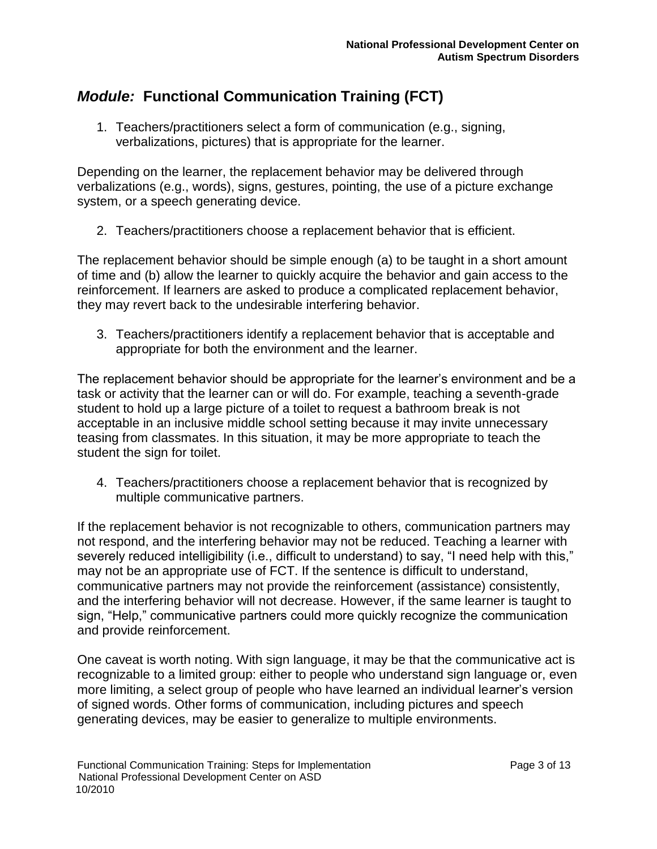1. Teachers/practitioners select a form of communication (e.g., signing, verbalizations, pictures) that is appropriate for the learner.

Depending on the learner, the replacement behavior may be delivered through verbalizations (e.g., words), signs, gestures, pointing, the use of a picture exchange system, or a speech generating device.

2. Teachers/practitioners choose a replacement behavior that is efficient.

The replacement behavior should be simple enough (a) to be taught in a short amount of time and (b) allow the learner to quickly acquire the behavior and gain access to the reinforcement. If learners are asked to produce a complicated replacement behavior, they may revert back to the undesirable interfering behavior.

3. Teachers/practitioners identify a replacement behavior that is acceptable and appropriate for both the environment and the learner.

The replacement behavior should be appropriate for the learner's environment and be a task or activity that the learner can or will do. For example, teaching a seventh-grade student to hold up a large picture of a toilet to request a bathroom break is not acceptable in an inclusive middle school setting because it may invite unnecessary teasing from classmates. In this situation, it may be more appropriate to teach the student the sign for toilet.

4. Teachers/practitioners choose a replacement behavior that is recognized by multiple communicative partners.

If the replacement behavior is not recognizable to others, communication partners may not respond, and the interfering behavior may not be reduced. Teaching a learner with severely reduced intelligibility (i.e., difficult to understand) to say, "I need help with this," may not be an appropriate use of FCT. If the sentence is difficult to understand, communicative partners may not provide the reinforcement (assistance) consistently, and the interfering behavior will not decrease. However, if the same learner is taught to sign, "Help," communicative partners could more quickly recognize the communication and provide reinforcement.

One caveat is worth noting. With sign language, it may be that the communicative act is recognizable to a limited group: either to people who understand sign language or, even more limiting, a select group of people who have learned an individual learner's version of signed words. Other forms of communication, including pictures and speech generating devices, may be easier to generalize to multiple environments.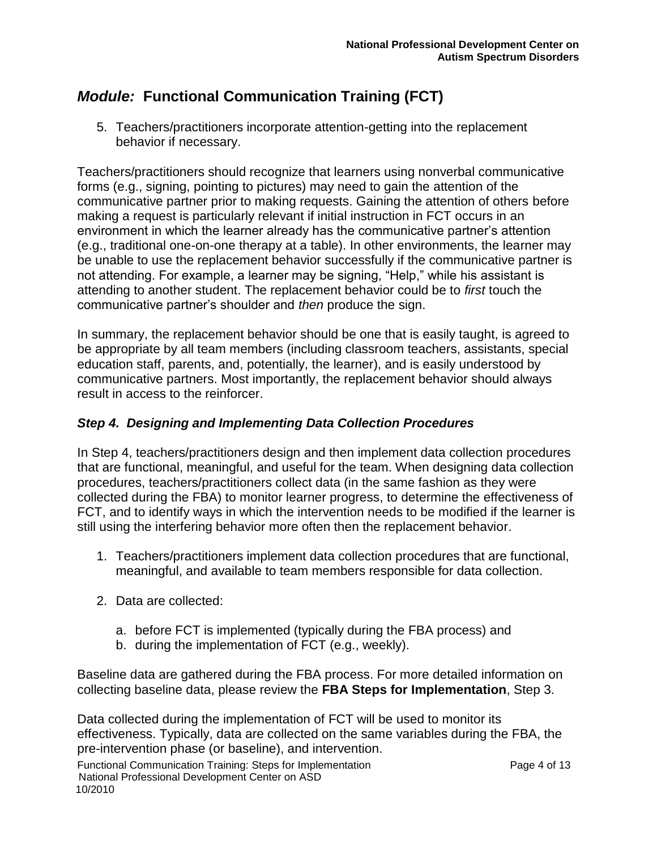5. Teachers/practitioners incorporate attention-getting into the replacement behavior if necessary.

Teachers/practitioners should recognize that learners using nonverbal communicative forms (e.g., signing, pointing to pictures) may need to gain the attention of the communicative partner prior to making requests. Gaining the attention of others before making a request is particularly relevant if initial instruction in FCT occurs in an environment in which the learner already has the communicative partner's attention (e.g., traditional one-on-one therapy at a table). In other environments, the learner may be unable to use the replacement behavior successfully if the communicative partner is not attending. For example, a learner may be signing, "Help," while his assistant is attending to another student. The replacement behavior could be to *first* touch the communicative partner's shoulder and *then* produce the sign.

In summary, the replacement behavior should be one that is easily taught, is agreed to be appropriate by all team members (including classroom teachers, assistants, special education staff, parents, and, potentially, the learner), and is easily understood by communicative partners. Most importantly, the replacement behavior should always result in access to the reinforcer.

### *Step 4. Designing and Implementing Data Collection Procedures*

In Step 4, teachers/practitioners design and then implement data collection procedures that are functional, meaningful, and useful for the team. When designing data collection procedures, teachers/practitioners collect data (in the same fashion as they were collected during the FBA) to monitor learner progress, to determine the effectiveness of FCT, and to identify ways in which the intervention needs to be modified if the learner is still using the interfering behavior more often then the replacement behavior.

- 1. Teachers/practitioners implement data collection procedures that are functional, meaningful, and available to team members responsible for data collection.
- 2. Data are collected:
	- a. before FCT is implemented (typically during the FBA process) and
	- b. during the implementation of FCT (e.g., weekly).

Baseline data are gathered during the FBA process. For more detailed information on collecting baseline data, please review the **FBA Steps for Implementation**, Step 3.

Data collected during the implementation of FCT will be used to monitor its effectiveness. Typically, data are collected on the same variables during the FBA, the pre-intervention phase (or baseline), and intervention.

Functional Communication Training: Steps for Implementation example 13 Page 4 of 13 National Professional Development Center on ASD 10/2010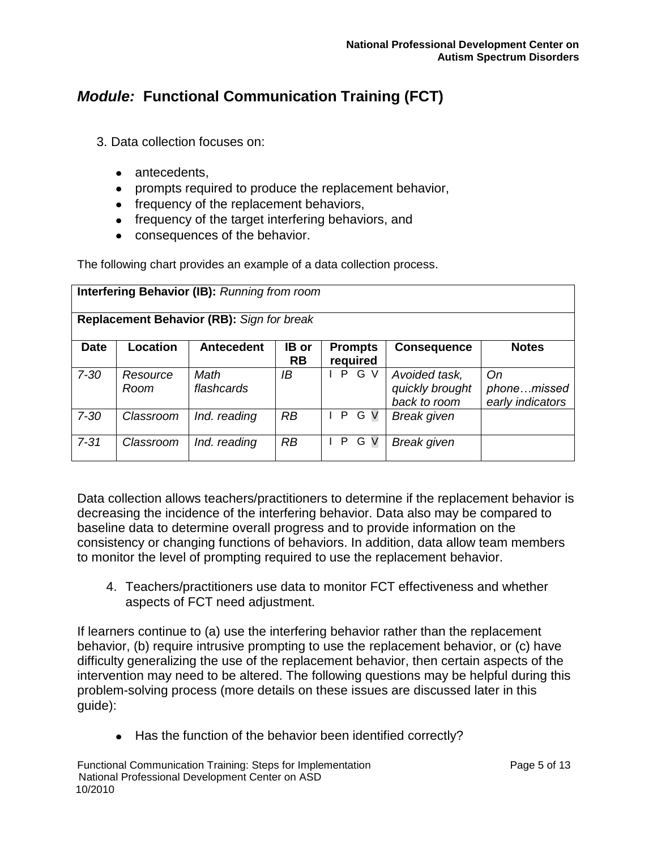- 3. Data collection focuses on:
	- antecedents.
	- prompts required to produce the replacement behavior,
	- frequency of the replacement behaviors,
	- frequency of the target interfering behaviors, and
	- consequences of the behavior.

The following chart provides an example of a data collection process.

|                                                  | <b>Interfering Behavior (IB):</b> Running from room |                    |                           |                            |                                                  |                                       |  |  |  |  |  |
|--------------------------------------------------|-----------------------------------------------------|--------------------|---------------------------|----------------------------|--------------------------------------------------|---------------------------------------|--|--|--|--|--|
| <b>Replacement Behavior (RB):</b> Sign for break |                                                     |                    |                           |                            |                                                  |                                       |  |  |  |  |  |
| <b>Date</b>                                      | Location                                            | <b>Antecedent</b>  | <b>IB</b> or<br><b>RB</b> | <b>Prompts</b><br>required | <b>Consequence</b>                               | <b>Notes</b>                          |  |  |  |  |  |
| $7 - 30$                                         | Resource<br>Room                                    | Math<br>flashcards | ΙB                        | PGV                        | Avoided task,<br>quickly brought<br>back to room | On<br>phonemissed<br>early indicators |  |  |  |  |  |
| $7 - 30$                                         | Classroom                                           | Ind. reading       | RB                        | PGV                        | <b>Break given</b>                               |                                       |  |  |  |  |  |
| $7 - 31$                                         | Classroom                                           | Ind. reading       | RB                        | $\mathsf{P}$<br>G V        | <b>Break given</b>                               |                                       |  |  |  |  |  |

Data collection allows teachers/practitioners to determine if the replacement behavior is decreasing the incidence of the interfering behavior. Data also may be compared to baseline data to determine overall progress and to provide information on the consistency or changing functions of behaviors. In addition, data allow team members to monitor the level of prompting required to use the replacement behavior.

4. Teachers/practitioners use data to monitor FCT effectiveness and whether aspects of FCT need adjustment.

If learners continue to (a) use the interfering behavior rather than the replacement behavior, (b) require intrusive prompting to use the replacement behavior, or (c) have difficulty generalizing the use of the replacement behavior, then certain aspects of the intervention may need to be altered. The following questions may be helpful during this problem-solving process (more details on these issues are discussed later in this guide):

• Has the function of the behavior been identified correctly?

Functional Communication Training: Steps for Implementation example 1988 Page 5 of 13 National Professional Development Center on ASD 10/2010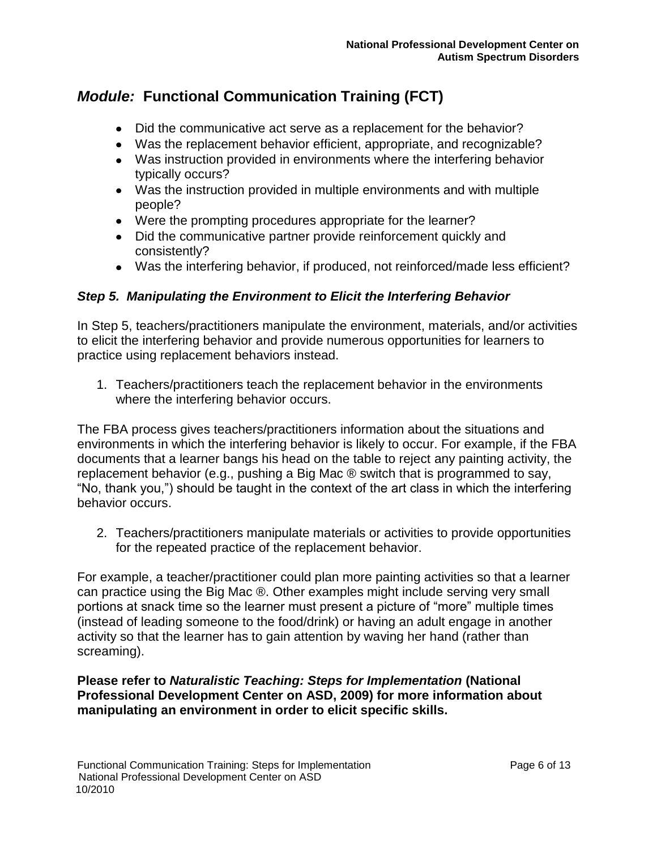- Did the communicative act serve as a replacement for the behavior?
- Was the replacement behavior efficient, appropriate, and recognizable?
- Was instruction provided in environments where the interfering behavior typically occurs?
- Was the instruction provided in multiple environments and with multiple people?
- Were the prompting procedures appropriate for the learner?
- Did the communicative partner provide reinforcement quickly and consistently?
- Was the interfering behavior, if produced, not reinforced/made less efficient?

### *Step 5. Manipulating the Environment to Elicit the Interfering Behavior*

In Step 5, teachers/practitioners manipulate the environment, materials, and/or activities to elicit the interfering behavior and provide numerous opportunities for learners to practice using replacement behaviors instead.

1. Teachers/practitioners teach the replacement behavior in the environments where the interfering behavior occurs.

The FBA process gives teachers/practitioners information about the situations and environments in which the interfering behavior is likely to occur. For example, if the FBA documents that a learner bangs his head on the table to reject any painting activity, the replacement behavior (e.g., pushing a Big Mac ® switch that is programmed to say, "No, thank you,") should be taught in the context of the art class in which the interfering behavior occurs.

2. Teachers/practitioners manipulate materials or activities to provide opportunities for the repeated practice of the replacement behavior.

For example, a teacher/practitioner could plan more painting activities so that a learner can practice using the Big Mac ®. Other examples might include serving very small portions at snack time so the learner must present a picture of "more" multiple times (instead of leading someone to the food/drink) or having an adult engage in another activity so that the learner has to gain attention by waving her hand (rather than screaming).

### **Please refer to** *Naturalistic Teaching: Steps for Implementation* **(National Professional Development Center on ASD, 2009) for more information about manipulating an environment in order to elicit specific skills.**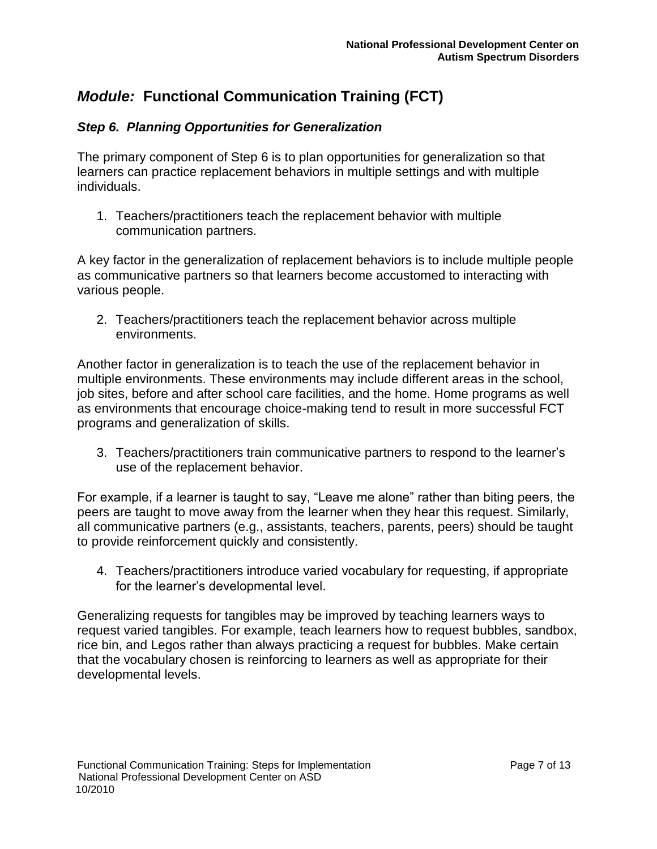### *Step 6. Planning Opportunities for Generalization*

The primary component of Step 6 is to plan opportunities for generalization so that learners can practice replacement behaviors in multiple settings and with multiple individuals.

1. Teachers/practitioners teach the replacement behavior with multiple communication partners.

A key factor in the generalization of replacement behaviors is to include multiple people as communicative partners so that learners become accustomed to interacting with various people.

2. Teachers/practitioners teach the replacement behavior across multiple environments.

Another factor in generalization is to teach the use of the replacement behavior in multiple environments. These environments may include different areas in the school, job sites, before and after school care facilities, and the home. Home programs as well as environments that encourage choice-making tend to result in more successful FCT programs and generalization of skills.

3. Teachers/practitioners train communicative partners to respond to the learner's use of the replacement behavior.

For example, if a learner is taught to say, "Leave me alone" rather than biting peers, the peers are taught to move away from the learner when they hear this request. Similarly, all communicative partners (e.g., assistants, teachers, parents, peers) should be taught to provide reinforcement quickly and consistently.

4. Teachers/practitioners introduce varied vocabulary for requesting, if appropriate for the learner's developmental level.

Generalizing requests for tangibles may be improved by teaching learners ways to request varied tangibles. For example, teach learners how to request bubbles, sandbox, rice bin, and Legos rather than always practicing a request for bubbles. Make certain that the vocabulary chosen is reinforcing to learners as well as appropriate for their developmental levels.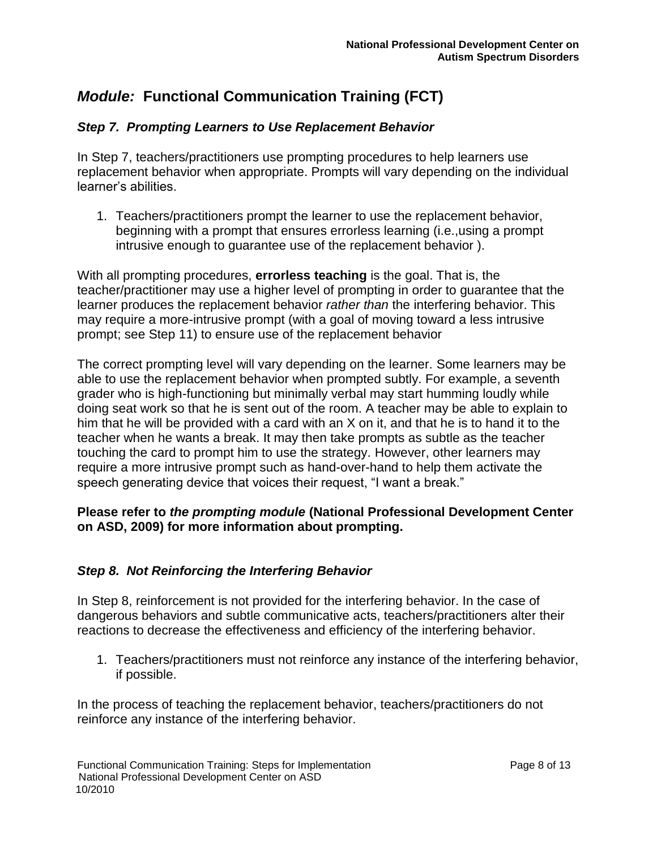### *Step 7. Prompting Learners to Use Replacement Behavior*

In Step 7, teachers/practitioners use prompting procedures to help learners use replacement behavior when appropriate. Prompts will vary depending on the individual learner's abilities.

1. Teachers/practitioners prompt the learner to use the replacement behavior, beginning with a prompt that ensures errorless learning (i.e.,using a prompt intrusive enough to guarantee use of the replacement behavior ).

With all prompting procedures, **errorless teaching** is the goal. That is, the teacher/practitioner may use a higher level of prompting in order to guarantee that the learner produces the replacement behavior *rather than* the interfering behavior. This may require a more-intrusive prompt (with a goal of moving toward a less intrusive prompt; see Step 11) to ensure use of the replacement behavior

The correct prompting level will vary depending on the learner. Some learners may be able to use the replacement behavior when prompted subtly. For example, a seventh grader who is high-functioning but minimally verbal may start humming loudly while doing seat work so that he is sent out of the room. A teacher may be able to explain to him that he will be provided with a card with an X on it, and that he is to hand it to the teacher when he wants a break. It may then take prompts as subtle as the teacher touching the card to prompt him to use the strategy. However, other learners may require a more intrusive prompt such as hand-over-hand to help them activate the speech generating device that voices their request, "I want a break."

### **Please refer to** *the prompting module* **(National Professional Development Center on ASD, 2009) for more information about prompting.**

### *Step 8. Not Reinforcing the Interfering Behavior*

In Step 8, reinforcement is not provided for the interfering behavior. In the case of dangerous behaviors and subtle communicative acts, teachers/practitioners alter their reactions to decrease the effectiveness and efficiency of the interfering behavior.

1. Teachers/practitioners must not reinforce any instance of the interfering behavior, if possible.

In the process of teaching the replacement behavior, teachers/practitioners do not reinforce any instance of the interfering behavior.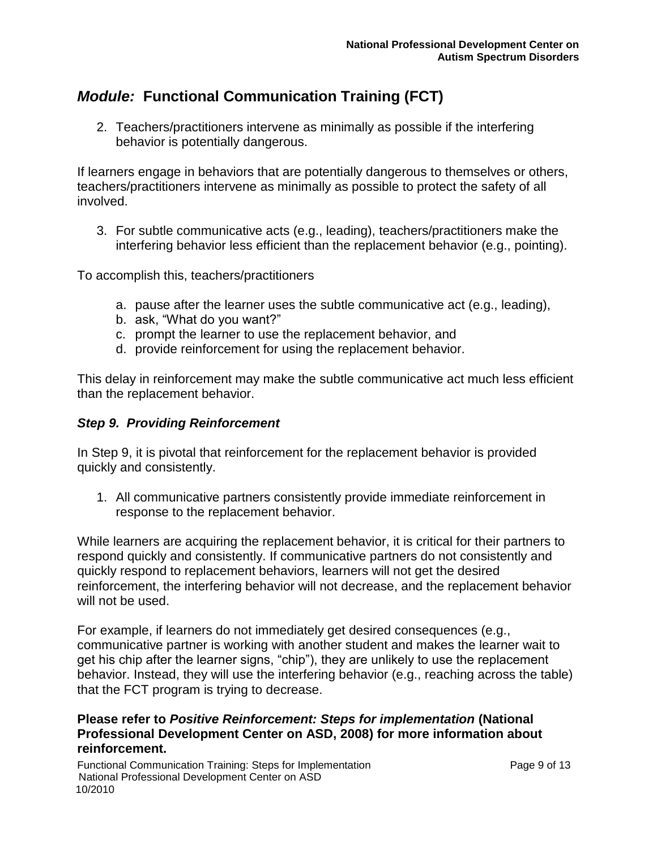2. Teachers/practitioners intervene as minimally as possible if the interfering behavior is potentially dangerous.

If learners engage in behaviors that are potentially dangerous to themselves or others, teachers/practitioners intervene as minimally as possible to protect the safety of all involved.

3. For subtle communicative acts (e.g., leading), teachers/practitioners make the interfering behavior less efficient than the replacement behavior (e.g., pointing).

To accomplish this, teachers/practitioners

- a. pause after the learner uses the subtle communicative act (e.g., leading),
- b. ask, "What do you want?"
- c. prompt the learner to use the replacement behavior, and
- d. provide reinforcement for using the replacement behavior.

This delay in reinforcement may make the subtle communicative act much less efficient than the replacement behavior.

#### *Step 9. Providing Reinforcement*

In Step 9, it is pivotal that reinforcement for the replacement behavior is provided quickly and consistently.

1. All communicative partners consistently provide immediate reinforcement in response to the replacement behavior.

While learners are acquiring the replacement behavior, it is critical for their partners to respond quickly and consistently. If communicative partners do not consistently and quickly respond to replacement behaviors, learners will not get the desired reinforcement, the interfering behavior will not decrease, and the replacement behavior will not be used.

For example, if learners do not immediately get desired consequences (e.g., communicative partner is working with another student and makes the learner wait to get his chip after the learner signs, "chip"), they are unlikely to use the replacement behavior. Instead, they will use the interfering behavior (e.g., reaching across the table) that the FCT program is trying to decrease.

### **Please refer to** *Positive Reinforcement: Steps for implementation* **(National Professional Development Center on ASD, 2008) for more information about reinforcement.**

Functional Communication Training: Steps for Implementation **Page 9 of 13** Page 9 of 13 National Professional Development Center on ASD 10/2010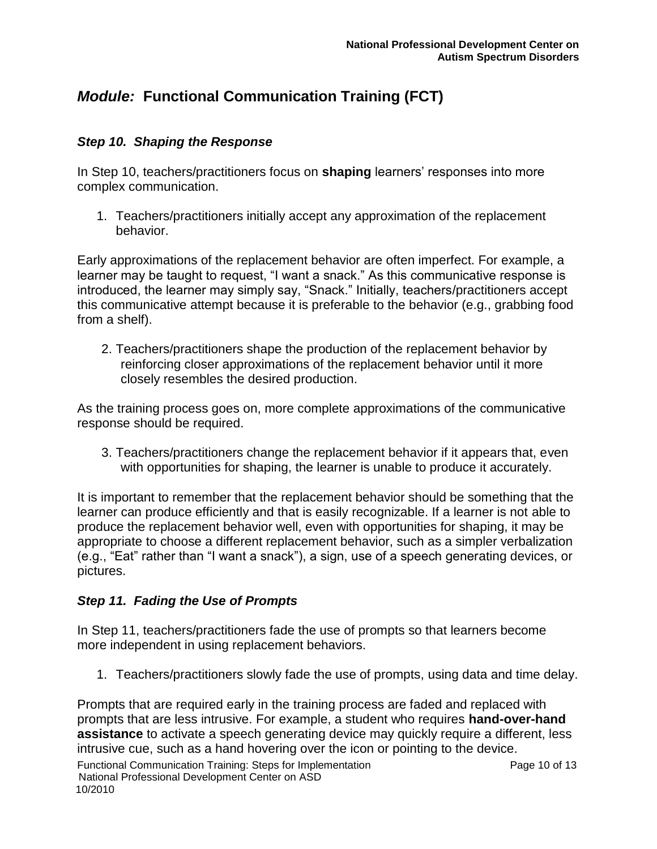### *Step 10. Shaping the Response*

In Step 10, teachers/practitioners focus on **shaping** learners' responses into more complex communication.

1. Teachers/practitioners initially accept any approximation of the replacement behavior.

Early approximations of the replacement behavior are often imperfect. For example, a learner may be taught to request, "I want a snack." As this communicative response is introduced, the learner may simply say, "Snack." Initially, teachers/practitioners accept this communicative attempt because it is preferable to the behavior (e.g., grabbing food from a shelf).

2. Teachers/practitioners shape the production of the replacement behavior by reinforcing closer approximations of the replacement behavior until it more closely resembles the desired production.

As the training process goes on, more complete approximations of the communicative response should be required.

3. Teachers/practitioners change the replacement behavior if it appears that, even with opportunities for shaping, the learner is unable to produce it accurately.

It is important to remember that the replacement behavior should be something that the learner can produce efficiently and that is easily recognizable. If a learner is not able to produce the replacement behavior well, even with opportunities for shaping, it may be appropriate to choose a different replacement behavior, such as a simpler verbalization (e.g., "Eat" rather than "I want a snack"), a sign, use of a speech generating devices, or pictures.

### *Step 11. Fading the Use of Prompts*

In Step 11, teachers/practitioners fade the use of prompts so that learners become more independent in using replacement behaviors.

1. Teachers/practitioners slowly fade the use of prompts, using data and time delay.

Prompts that are required early in the training process are faded and replaced with prompts that are less intrusive. For example, a student who requires **hand-over-hand assistance** to activate a speech generating device may quickly require a different, less intrusive cue, such as a hand hovering over the icon or pointing to the device.

Functional Communication Training: Steps for Implementation Function Page 10 of 13 National Professional Development Center on ASD 10/2010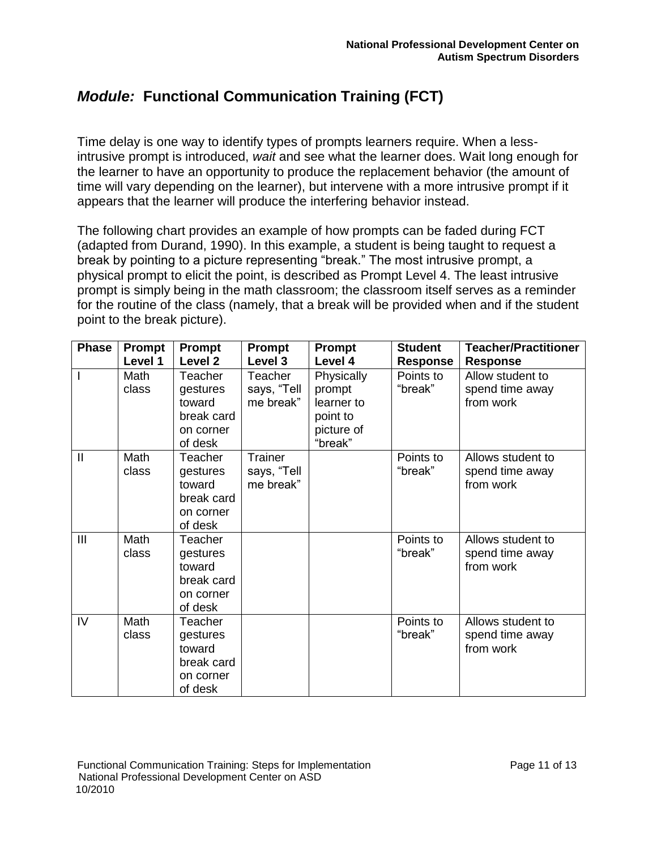Time delay is one way to identify types of prompts learners require. When a lessintrusive prompt is introduced, *wait* and see what the learner does. Wait long enough for the learner to have an opportunity to produce the replacement behavior (the amount of time will vary depending on the learner), but intervene with a more intrusive prompt if it appears that the learner will produce the interfering behavior instead.

The following chart provides an example of how prompts can be faded during FCT (adapted from Durand, 1990). In this example, a student is being taught to request a break by pointing to a picture representing "break." The most intrusive prompt, a physical prompt to elicit the point, is described as Prompt Level 4. The least intrusive prompt is simply being in the math classroom; the classroom itself serves as a reminder for the routine of the class (namely, that a break will be provided when and if the student point to the break picture).

| <b>Phase</b>   | Prompt<br>Level 1 | <b>Prompt</b><br>Level 2                                                   | Prompt<br>Level 3                   | <b>Prompt</b><br>Level 4                                                | <b>Student</b><br>Response | <b>Teacher/Practitioner</b><br><b>Response</b>    |
|----------------|-------------------|----------------------------------------------------------------------------|-------------------------------------|-------------------------------------------------------------------------|----------------------------|---------------------------------------------------|
|                | Math<br>class     | Teacher<br>gestures<br>toward<br>break card<br>on corner<br>of desk        | Teacher<br>says, "Tell<br>me break" | Physically<br>prompt<br>learner to<br>point to<br>picture of<br>"break" | Points to<br>"break"       | Allow student to<br>spend time away<br>from work  |
| $\mathbf{I}$   | Math<br>class     | Teacher<br>gestures<br>toward<br>break card<br>on corner<br>of desk        | Trainer<br>says, "Tell<br>me break" |                                                                         | Points to<br>"break"       | Allows student to<br>spend time away<br>from work |
| $\mathbf{III}$ | Math<br>class     | <b>Teacher</b><br>gestures<br>toward<br>break card<br>on corner<br>of desk |                                     |                                                                         | Points to<br>"break"       | Allows student to<br>spend time away<br>from work |
| IV             | Math<br>class     | Teacher<br>gestures<br>toward<br>break card<br>on corner<br>of desk        |                                     |                                                                         | Points to<br>"break"       | Allows student to<br>spend time away<br>from work |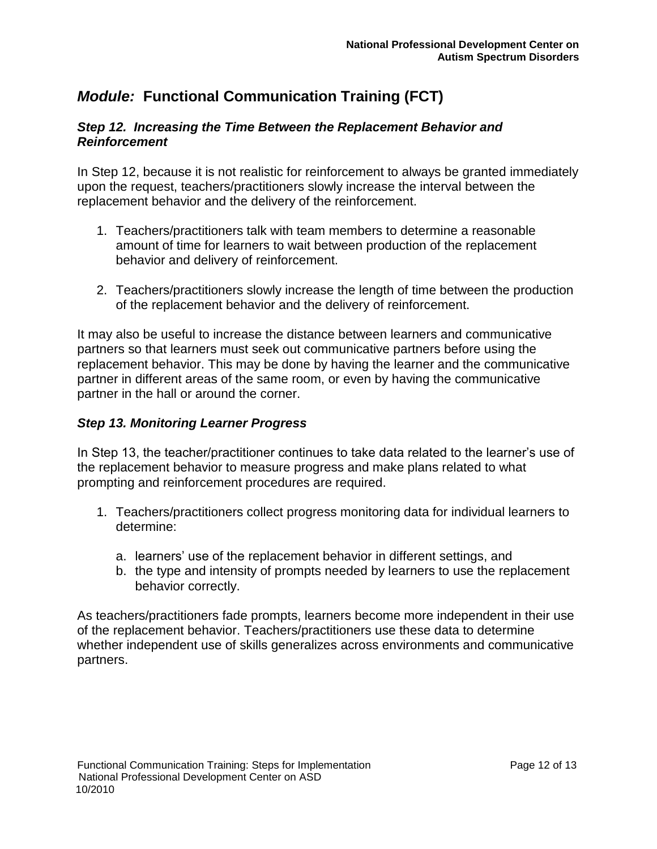#### *Step 12. Increasing the Time Between the Replacement Behavior and Reinforcement*

In Step 12, because it is not realistic for reinforcement to always be granted immediately upon the request, teachers/practitioners slowly increase the interval between the replacement behavior and the delivery of the reinforcement.

- 1. Teachers/practitioners talk with team members to determine a reasonable amount of time for learners to wait between production of the replacement behavior and delivery of reinforcement.
- 2. Teachers/practitioners slowly increase the length of time between the production of the replacement behavior and the delivery of reinforcement.

It may also be useful to increase the distance between learners and communicative partners so that learners must seek out communicative partners before using the replacement behavior. This may be done by having the learner and the communicative partner in different areas of the same room, or even by having the communicative partner in the hall or around the corner.

### *Step 13. Monitoring Learner Progress*

In Step 13, the teacher/practitioner continues to take data related to the learner's use of the replacement behavior to measure progress and make plans related to what prompting and reinforcement procedures are required.

- 1. Teachers/practitioners collect progress monitoring data for individual learners to determine:
	- a. learners' use of the replacement behavior in different settings, and
	- b. the type and intensity of prompts needed by learners to use the replacement behavior correctly.

As teachers/practitioners fade prompts, learners become more independent in their use of the replacement behavior. Teachers/practitioners use these data to determine whether independent use of skills generalizes across environments and communicative partners.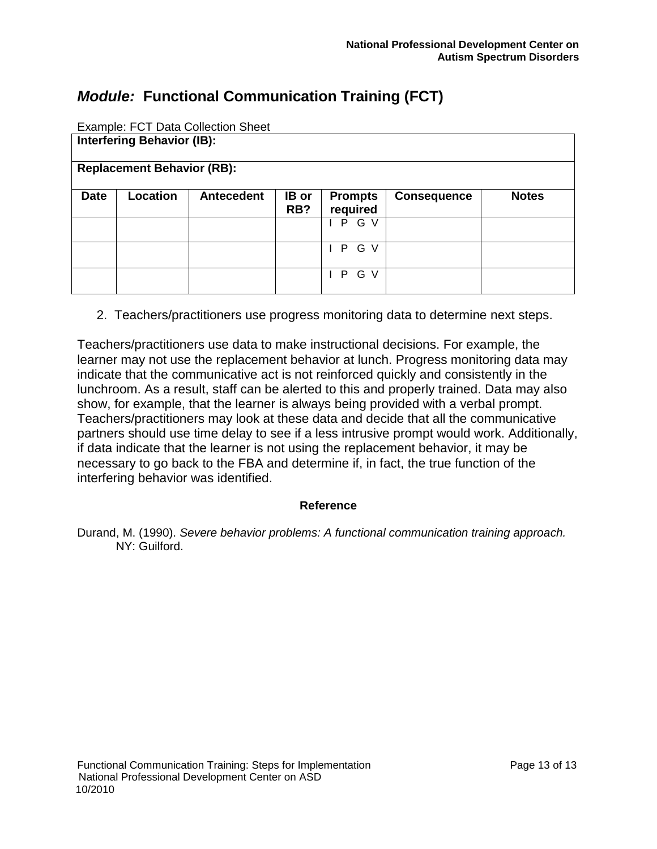|             |                                   | Example: FCT Data Collection Sheet |       |                |                    |              |
|-------------|-----------------------------------|------------------------------------|-------|----------------|--------------------|--------------|
|             | <b>Interfering Behavior (IB):</b> |                                    |       |                |                    |              |
|             |                                   |                                    |       |                |                    |              |
|             | <b>Replacement Behavior (RB):</b> |                                    |       |                |                    |              |
|             |                                   |                                    |       |                |                    |              |
| <b>Date</b> | Location                          | <b>Antecedent</b>                  | IB or | <b>Prompts</b> | <b>Consequence</b> | <b>Notes</b> |
|             |                                   |                                    | RB?   | required       |                    |              |
|             |                                   |                                    |       | PGV            |                    |              |
|             |                                   |                                    |       |                |                    |              |
|             |                                   |                                    |       | G V<br>P.      |                    |              |
|             |                                   |                                    |       |                |                    |              |
|             |                                   |                                    |       | G V<br>P       |                    |              |
|             |                                   |                                    |       |                |                    |              |

 $ECT$  Data Collection Of

2. Teachers/practitioners use progress monitoring data to determine next steps.

Teachers/practitioners use data to make instructional decisions. For example, the learner may not use the replacement behavior at lunch. Progress monitoring data may indicate that the communicative act is not reinforced quickly and consistently in the lunchroom. As a result, staff can be alerted to this and properly trained. Data may also show, for example, that the learner is always being provided with a verbal prompt. Teachers/practitioners may look at these data and decide that all the communicative partners should use time delay to see if a less intrusive prompt would work. Additionally, if data indicate that the learner is not using the replacement behavior, it may be necessary to go back to the FBA and determine if, in fact, the true function of the interfering behavior was identified.

#### **Reference**

Durand, M. (1990). *Severe behavior problems: A functional communication training approach.* NY: Guilford.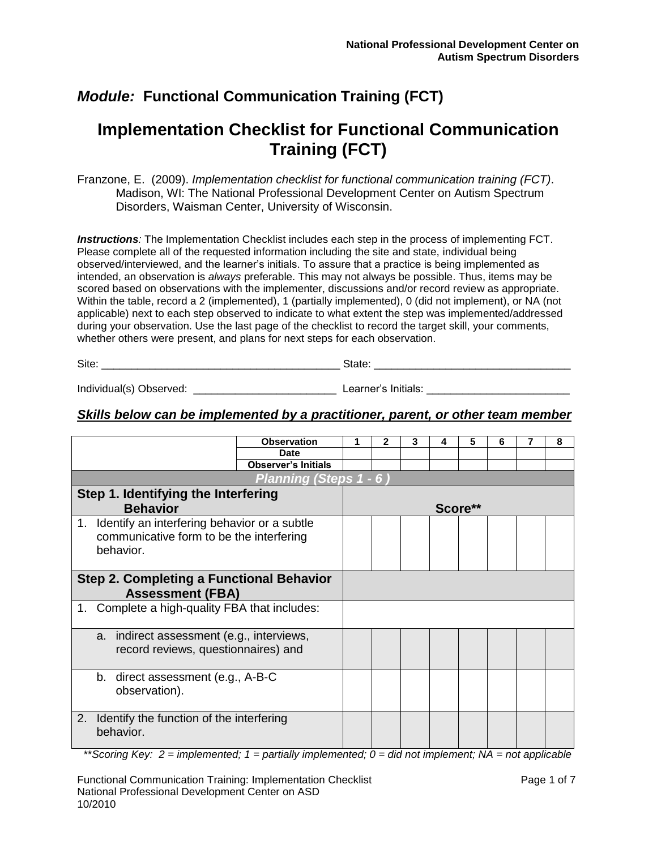# **Implementation Checklist for Functional Communication Training (FCT)**

Franzone, E. (2009). *Implementation checklist for functional communication training (FCT)*. Madison, WI: The National Professional Development Center on Autism Spectrum Disorders, Waisman Center, University of Wisconsin.

*Instructions:* The Implementation Checklist includes each step in the process of implementing FCT. Please complete all of the requested information including the site and state, individual being observed/interviewed, and the learner's initials. To assure that a practice is being implemented as intended, an observation is *always* preferable. This may not always be possible. Thus, items may be scored based on observations with the implementer, discussions and/or record review as appropriate. Within the table, record a 2 (implemented), 1 (partially implemented), 0 (did not implement), or NA (not applicable) next to each step observed to indicate to what extent the step was implemented/addressed during your observation. Use the last page of the checklist to record the target skill, your comments, whether others were present, and plans for next steps for each observation.

Site: \_\_\_\_\_\_\_\_\_\_\_\_\_\_\_\_\_\_\_\_\_\_\_\_\_\_\_\_\_\_\_\_\_\_\_\_\_\_\_\_ State: \_\_\_\_\_\_\_\_\_\_\_\_\_\_\_\_\_\_\_\_\_\_\_\_\_\_\_\_\_\_\_\_\_

Individual(s) Observed: \_\_\_\_\_\_\_\_\_\_\_\_\_\_\_\_\_\_\_\_\_\_\_\_\_\_\_\_\_\_\_\_\_\_\_ Learner's Initials: \_\_\_\_\_\_\_\_\_\_\_\_\_\_\_\_\_\_\_\_\_\_\_\_\_\_\_\_\_\_

#### *Skills below can be implemented by a practitioner, parent, or other team member*

|    |                                                                                                       | <b>Observation</b>     | 2 | 3 | 4 | 5       | 6 | 8 |
|----|-------------------------------------------------------------------------------------------------------|------------------------|---|---|---|---------|---|---|
|    |                                                                                                       | <b>Date</b>            |   |   |   |         |   |   |
|    |                                                                                                       |                        |   |   |   |         |   |   |
|    |                                                                                                       | Planning (Steps 1 - 6) |   |   |   |         |   |   |
|    | Step 1. Identifying the Interfering                                                                   |                        |   |   |   |         |   |   |
|    | <b>Behavior</b>                                                                                       |                        |   |   |   | Score** |   |   |
| 1. | Identify an interfering behavior or a subtle<br>communicative form to be the interfering<br>behavior. |                        |   |   |   |         |   |   |
|    | <b>Step 2. Completing a Functional Behavior</b><br><b>Assessment (FBA)</b>                            |                        |   |   |   |         |   |   |
|    |                                                                                                       |                        |   |   |   |         |   |   |
|    | 1. Complete a high-quality FBA that includes:                                                         |                        |   |   |   |         |   |   |
|    | indirect assessment (e.g., interviews,<br>a.<br>record reviews, questionnaires) and                   |                        |   |   |   |         |   |   |
|    | b. direct assessment (e.g., A-B-C<br>observation).                                                    |                        |   |   |   |         |   |   |
| 2. | Identify the function of the interfering<br>behavior.                                                 |                        |   |   |   |         |   |   |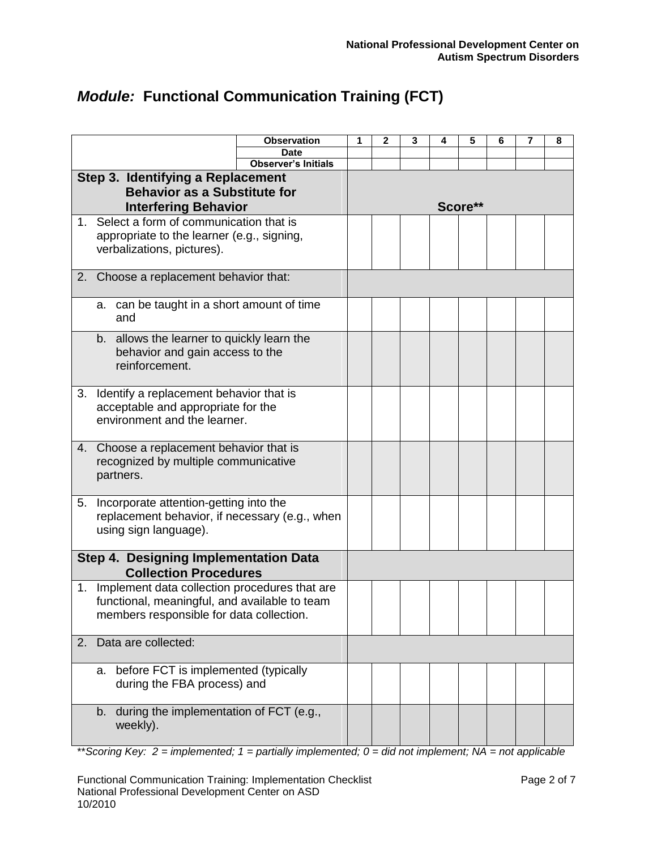|                |                                                                          | <b>Observation</b>         | 1 | 2 | 3 | 4 | 5       | 6 | 7 | 8 |
|----------------|--------------------------------------------------------------------------|----------------------------|---|---|---|---|---------|---|---|---|
|                |                                                                          | <b>Date</b>                |   |   |   |   |         |   |   |   |
|                |                                                                          | <b>Observer's Initials</b> |   |   |   |   |         |   |   |   |
|                | Step 3. Identifying a Replacement<br><b>Behavior as a Substitute for</b> |                            |   |   |   |   |         |   |   |   |
|                | <b>Interfering Behavior</b>                                              |                            |   |   |   |   | Score** |   |   |   |
| $1_{-}$        | Select a form of communication that is                                   |                            |   |   |   |   |         |   |   |   |
|                | appropriate to the learner (e.g., signing,                               |                            |   |   |   |   |         |   |   |   |
|                | verbalizations, pictures).                                               |                            |   |   |   |   |         |   |   |   |
|                | 2. Choose a replacement behavior that:                                   |                            |   |   |   |   |         |   |   |   |
|                | a. can be taught in a short amount of time                               |                            |   |   |   |   |         |   |   |   |
|                | and                                                                      |                            |   |   |   |   |         |   |   |   |
|                | b. allows the learner to quickly learn the                               |                            |   |   |   |   |         |   |   |   |
|                | behavior and gain access to the<br>reinforcement.                        |                            |   |   |   |   |         |   |   |   |
|                |                                                                          |                            |   |   |   |   |         |   |   |   |
| 3.             | Identify a replacement behavior that is                                  |                            |   |   |   |   |         |   |   |   |
|                | acceptable and appropriate for the                                       |                            |   |   |   |   |         |   |   |   |
|                | environment and the learner.                                             |                            |   |   |   |   |         |   |   |   |
| 4.             | Choose a replacement behavior that is                                    |                            |   |   |   |   |         |   |   |   |
|                | recognized by multiple communicative                                     |                            |   |   |   |   |         |   |   |   |
|                | partners.                                                                |                            |   |   |   |   |         |   |   |   |
|                |                                                                          |                            |   |   |   |   |         |   |   |   |
| 5.             | Incorporate attention-getting into the                                   |                            |   |   |   |   |         |   |   |   |
|                | replacement behavior, if necessary (e.g., when                           |                            |   |   |   |   |         |   |   |   |
|                | using sign language).                                                    |                            |   |   |   |   |         |   |   |   |
|                | Step 4. Designing Implementation Data                                    |                            |   |   |   |   |         |   |   |   |
|                | <b>Collection Procedures</b>                                             |                            |   |   |   |   |         |   |   |   |
| 1 <sub>1</sub> | Implement data collection procedures that are                            |                            |   |   |   |   |         |   |   |   |
|                | functional, meaningful, and available to team                            |                            |   |   |   |   |         |   |   |   |
|                | members responsible for data collection.                                 |                            |   |   |   |   |         |   |   |   |
| 2.             | Data are collected:                                                      |                            |   |   |   |   |         |   |   |   |
|                |                                                                          |                            |   |   |   |   |         |   |   |   |
|                | before FCT is implemented (typically<br>а.                               |                            |   |   |   |   |         |   |   |   |
|                | during the FBA process) and                                              |                            |   |   |   |   |         |   |   |   |
|                | during the implementation of FCT (e.g.,<br>b.                            |                            |   |   |   |   |         |   |   |   |
|                | weekly).                                                                 |                            |   |   |   |   |         |   |   |   |
|                |                                                                          |                            |   |   |   |   |         |   |   |   |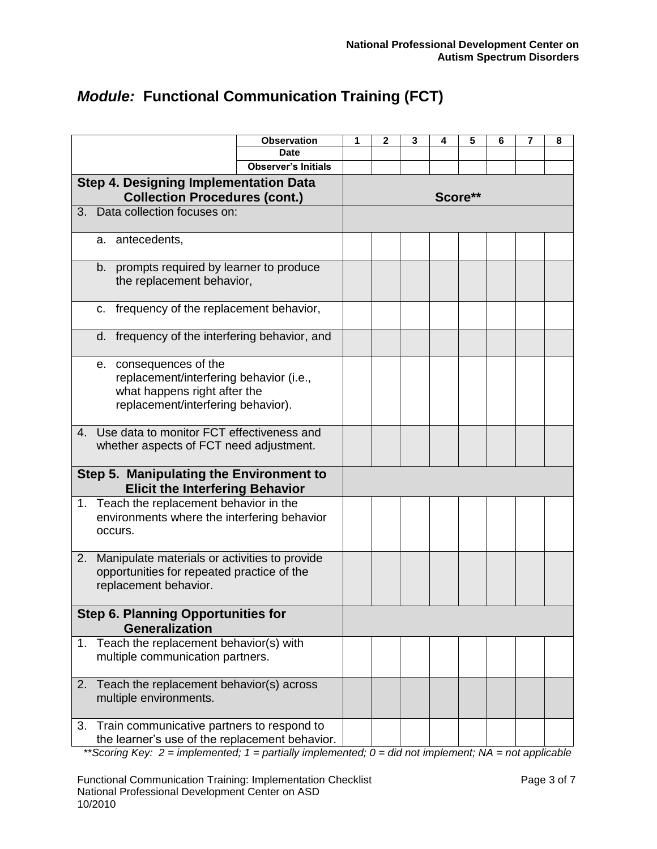|                |                                                                                                                                         | <b>Observation</b>         | 1       | 2 | 3 | 5 | 6 | 7 | 8 |  |  |
|----------------|-----------------------------------------------------------------------------------------------------------------------------------------|----------------------------|---------|---|---|---|---|---|---|--|--|
|                |                                                                                                                                         | Date                       |         |   |   |   |   |   |   |  |  |
|                |                                                                                                                                         | <b>Observer's Initials</b> |         |   |   |   |   |   |   |  |  |
|                | <b>Step 4. Designing Implementation Data</b><br><b>Collection Procedures (cont.)</b>                                                    |                            | Score** |   |   |   |   |   |   |  |  |
|                | 3. Data collection focuses on:                                                                                                          |                            |         |   |   |   |   |   |   |  |  |
|                | a. antecedents,                                                                                                                         |                            |         |   |   |   |   |   |   |  |  |
|                | b. prompts required by learner to produce<br>the replacement behavior,                                                                  |                            |         |   |   |   |   |   |   |  |  |
|                | c. frequency of the replacement behavior,                                                                                               |                            |         |   |   |   |   |   |   |  |  |
|                | d. frequency of the interfering behavior, and                                                                                           |                            |         |   |   |   |   |   |   |  |  |
|                | e. consequences of the<br>replacement/interfering behavior (i.e.,<br>what happens right after the<br>replacement/interfering behavior). |                            |         |   |   |   |   |   |   |  |  |
| 4.             | Use data to monitor FCT effectiveness and<br>whether aspects of FCT need adjustment.                                                    |                            |         |   |   |   |   |   |   |  |  |
|                | Step 5. Manipulating the Environment to<br><b>Elicit the Interfering Behavior</b>                                                       |                            |         |   |   |   |   |   |   |  |  |
|                | 1. Teach the replacement behavior in the<br>environments where the interfering behavior<br>occurs.                                      |                            |         |   |   |   |   |   |   |  |  |
| 2.             | Manipulate materials or activities to provide<br>opportunities for repeated practice of the<br>replacement behavior.                    |                            |         |   |   |   |   |   |   |  |  |
|                | <b>Step 6. Planning Opportunities for</b><br><b>Generalization</b>                                                                      |                            |         |   |   |   |   |   |   |  |  |
| 1 <sub>1</sub> | Teach the replacement behavior(s) with<br>multiple communication partners.                                                              |                            |         |   |   |   |   |   |   |  |  |
| 2.             | Teach the replacement behavior(s) across<br>multiple environments.                                                                      |                            |         |   |   |   |   |   |   |  |  |
| 3.             | Train communicative partners to respond to<br>the learner's use of the replacement behavior.                                            |                            |         |   |   |   |   |   |   |  |  |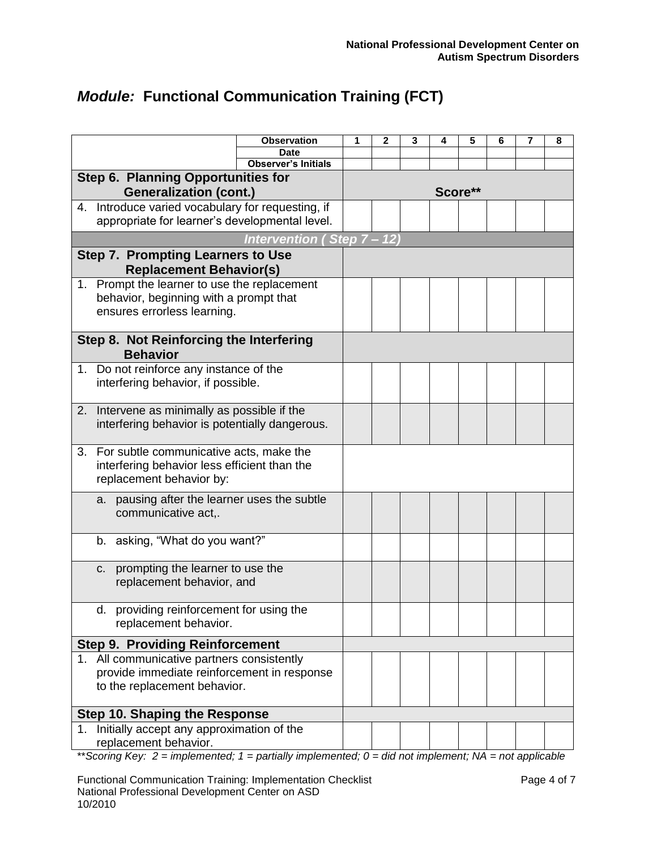|                                                                            | <b>Observation</b>         | 1 | 2 | 3 | 4 | 5       | 6 | 7 | 8 |
|----------------------------------------------------------------------------|----------------------------|---|---|---|---|---------|---|---|---|
|                                                                            | <b>Date</b>                |   |   |   |   |         |   |   |   |
|                                                                            | <b>Observer's Initials</b> |   |   |   |   |         |   |   |   |
| Step 6. Planning Opportunities for<br><b>Generalization (cont.)</b>        |                            |   |   |   |   | Score** |   |   |   |
| 4. Introduce varied vocabulary for requesting, if                          |                            |   |   |   |   |         |   |   |   |
| appropriate for learner's developmental level.                             |                            |   |   |   |   |         |   |   |   |
|                                                                            | Intervention (Step 7 - 12) |   |   |   |   |         |   |   |   |
| <b>Step 7. Prompting Learners to Use</b><br><b>Replacement Behavior(s)</b> |                            |   |   |   |   |         |   |   |   |
| 1. Prompt the learner to use the replacement                               |                            |   |   |   |   |         |   |   |   |
| behavior, beginning with a prompt that                                     |                            |   |   |   |   |         |   |   |   |
| ensures errorless learning.                                                |                            |   |   |   |   |         |   |   |   |
|                                                                            |                            |   |   |   |   |         |   |   |   |
| Step 8. Not Reinforcing the Interfering<br><b>Behavior</b>                 |                            |   |   |   |   |         |   |   |   |
| 1. Do not reinforce any instance of the                                    |                            |   |   |   |   |         |   |   |   |
| interfering behavior, if possible.                                         |                            |   |   |   |   |         |   |   |   |
|                                                                            |                            |   |   |   |   |         |   |   |   |
| 2. Intervene as minimally as possible if the                               |                            |   |   |   |   |         |   |   |   |
| interfering behavior is potentially dangerous.                             |                            |   |   |   |   |         |   |   |   |
| For subtle communicative acts, make the<br>3.                              |                            |   |   |   |   |         |   |   |   |
| interfering behavior less efficient than the                               |                            |   |   |   |   |         |   |   |   |
| replacement behavior by:                                                   |                            |   |   |   |   |         |   |   |   |
| a. pausing after the learner uses the subtle                               |                            |   |   |   |   |         |   |   |   |
| communicative act,.                                                        |                            |   |   |   |   |         |   |   |   |
|                                                                            |                            |   |   |   |   |         |   |   |   |
| b. asking, "What do you want?"                                             |                            |   |   |   |   |         |   |   |   |
| prompting the learner to use the<br>C.                                     |                            |   |   |   |   |         |   |   |   |
| replacement behavior, and                                                  |                            |   |   |   |   |         |   |   |   |
|                                                                            |                            |   |   |   |   |         |   |   |   |
| d. providing reinforcement for using the                                   |                            |   |   |   |   |         |   |   |   |
| replacement behavior.                                                      |                            |   |   |   |   |         |   |   |   |
| <b>Step 9. Providing Reinforcement</b>                                     |                            |   |   |   |   |         |   |   |   |
| 1. All communicative partners consistently                                 |                            |   |   |   |   |         |   |   |   |
| provide immediate reinforcement in response                                |                            |   |   |   |   |         |   |   |   |
| to the replacement behavior.                                               |                            |   |   |   |   |         |   |   |   |
| <b>Step 10. Shaping the Response</b>                                       |                            |   |   |   |   |         |   |   |   |
| Initially accept any approximation of the<br>1.                            |                            |   |   |   |   |         |   |   |   |
| replacement behavior.                                                      |                            |   |   |   |   |         |   |   |   |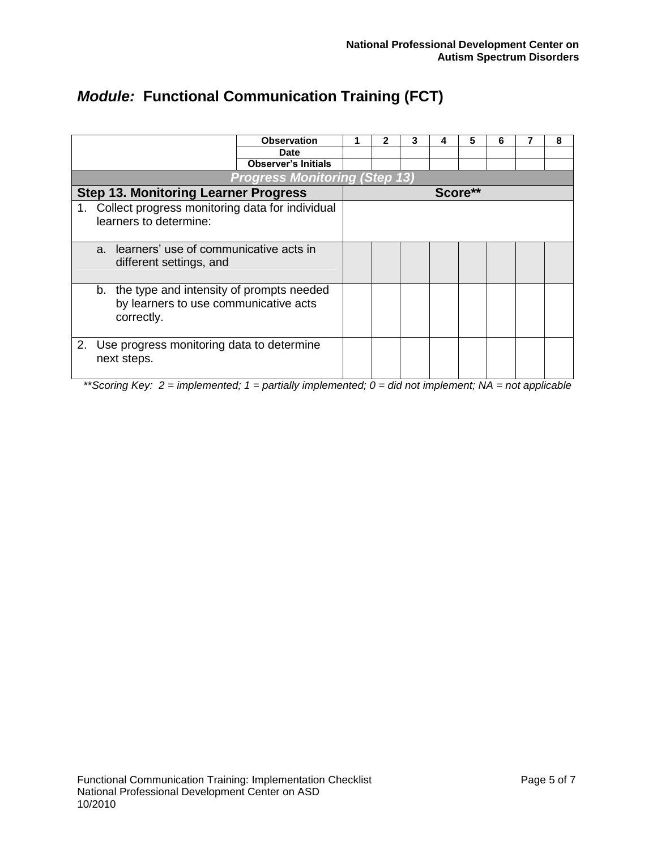|                                                    | <b>Observation</b>                   |  | 3 | 4 | 5       | 6 | 8 |
|----------------------------------------------------|--------------------------------------|--|---|---|---------|---|---|
|                                                    | <b>Date</b>                          |  |   |   |         |   |   |
|                                                    | Observer's Initials                  |  |   |   |         |   |   |
|                                                    | <b>Progress Monitoring (Step 13)</b> |  |   |   |         |   |   |
| <b>Step 13. Monitoring Learner Progress</b>        |                                      |  |   |   | Score** |   |   |
| 1. Collect progress monitoring data for individual |                                      |  |   |   |         |   |   |
| learners to determine:                             |                                      |  |   |   |         |   |   |
|                                                    |                                      |  |   |   |         |   |   |
| learners' use of communicative acts in<br>$a_{-}$  |                                      |  |   |   |         |   |   |
| different settings, and                            |                                      |  |   |   |         |   |   |
|                                                    |                                      |  |   |   |         |   |   |
| b. the type and intensity of prompts needed        |                                      |  |   |   |         |   |   |
| by learners to use communicative acts              |                                      |  |   |   |         |   |   |
| correctly.                                         |                                      |  |   |   |         |   |   |
|                                                    |                                      |  |   |   |         |   |   |
| 2. Use progress monitoring data to determine       |                                      |  |   |   |         |   |   |
| next steps.                                        |                                      |  |   |   |         |   |   |
|                                                    |                                      |  |   |   |         |   |   |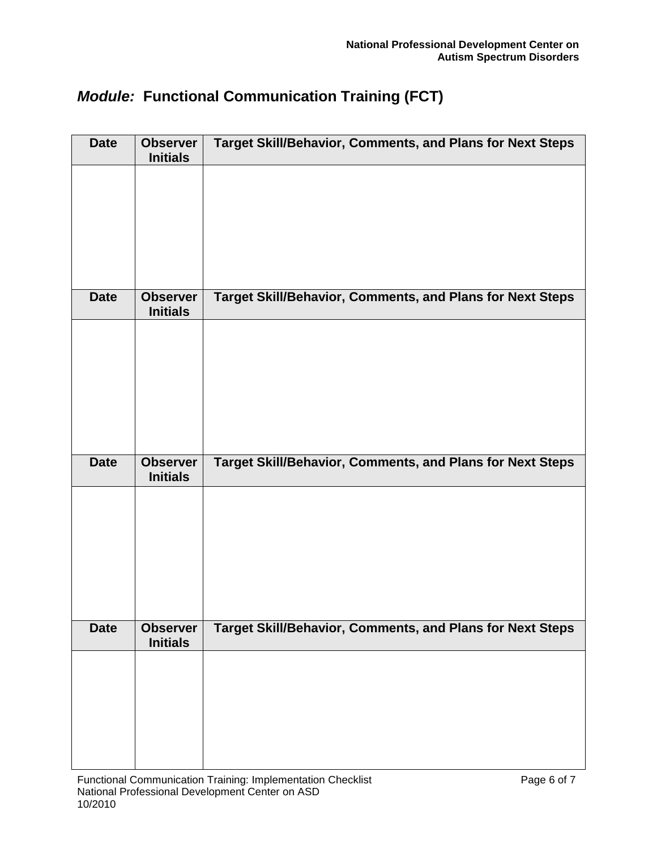| <b>Date</b> | <b>Observer</b><br><b>Initials</b> | <b>Target Skill/Behavior, Comments, and Plans for Next Steps</b> |
|-------------|------------------------------------|------------------------------------------------------------------|
|             |                                    |                                                                  |
|             |                                    |                                                                  |
|             |                                    |                                                                  |
|             |                                    |                                                                  |
| <b>Date</b> | <b>Observer</b><br><b>Initials</b> | <b>Target Skill/Behavior, Comments, and Plans for Next Steps</b> |
|             |                                    |                                                                  |
|             |                                    |                                                                  |
|             |                                    |                                                                  |
|             |                                    |                                                                  |
|             |                                    |                                                                  |
| <b>Date</b> | <b>Observer</b><br><b>Initials</b> | <b>Target Skill/Behavior, Comments, and Plans for Next Steps</b> |
|             |                                    |                                                                  |
|             |                                    |                                                                  |
|             |                                    |                                                                  |
|             |                                    |                                                                  |
| <b>Date</b> | <b>Observer</b><br><b>Initials</b> | <b>Target Skill/Behavior, Comments, and Plans for Next Steps</b> |
|             |                                    |                                                                  |
|             |                                    |                                                                  |
|             |                                    |                                                                  |
|             |                                    |                                                                  |
|             |                                    |                                                                  |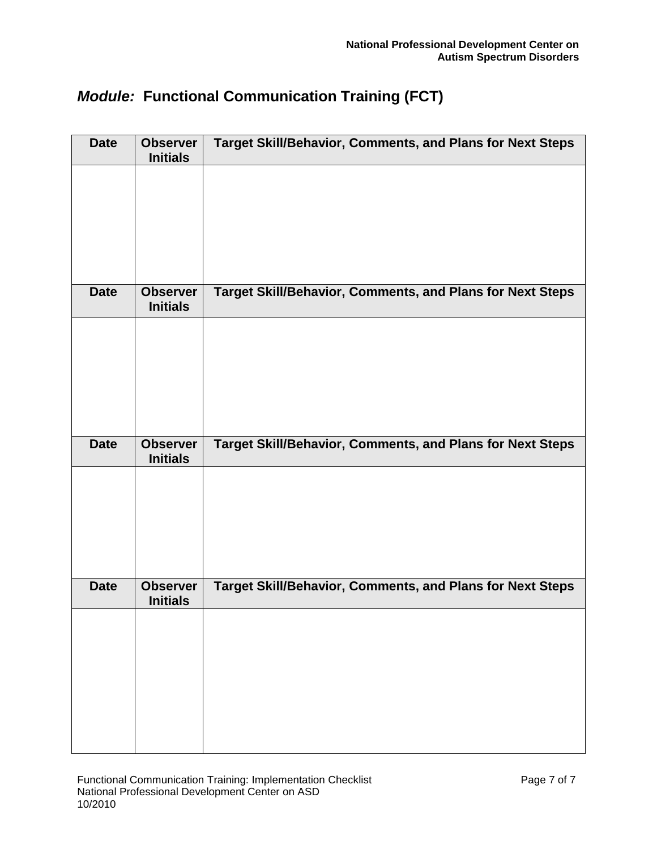| <b>Date</b> | <b>Observer</b><br><b>Initials</b> | <b>Target Skill/Behavior, Comments, and Plans for Next Steps</b> |
|-------------|------------------------------------|------------------------------------------------------------------|
|             |                                    |                                                                  |
|             |                                    |                                                                  |
|             |                                    |                                                                  |
|             |                                    |                                                                  |
| <b>Date</b> | <b>Observer</b><br><b>Initials</b> | <b>Target Skill/Behavior, Comments, and Plans for Next Steps</b> |
|             |                                    |                                                                  |
|             |                                    |                                                                  |
|             |                                    |                                                                  |
|             |                                    |                                                                  |
| <b>Date</b> | <b>Observer</b><br><b>Initials</b> | <b>Target Skill/Behavior, Comments, and Plans for Next Steps</b> |
|             |                                    |                                                                  |
|             |                                    |                                                                  |
|             |                                    |                                                                  |
| <b>Date</b> | <b>Observer</b>                    | <b>Target Skill/Behavior, Comments, and Plans for Next Steps</b> |
|             | <b>Initials</b>                    |                                                                  |
|             |                                    |                                                                  |
|             |                                    |                                                                  |
|             |                                    |                                                                  |
|             |                                    |                                                                  |
|             |                                    |                                                                  |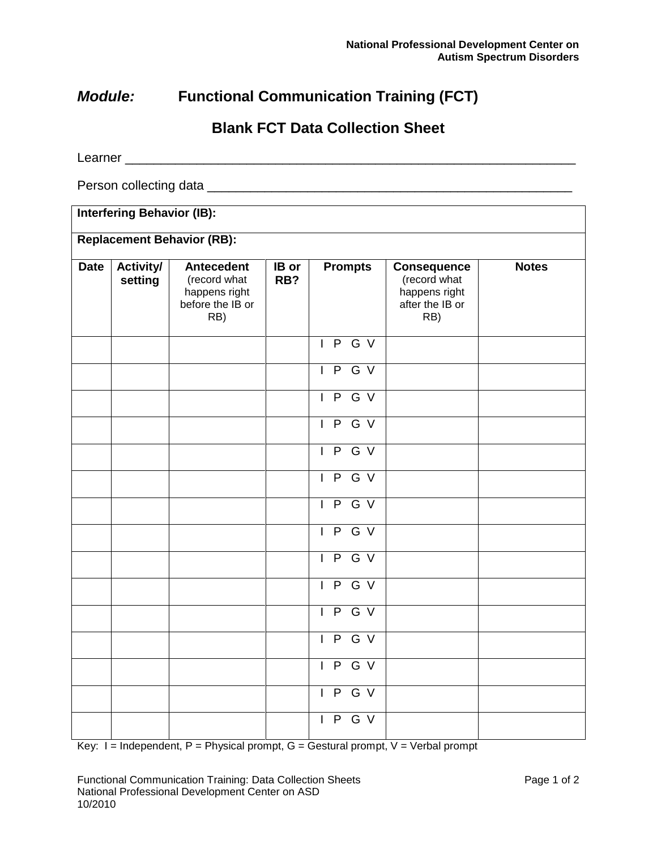### **Blank FCT Data Collection Sheet**

Learner \_\_\_\_\_\_\_\_\_\_\_\_\_\_\_\_\_\_\_\_\_\_\_\_\_\_\_\_\_\_\_\_\_\_\_\_\_\_\_\_\_\_\_\_\_\_\_\_\_\_\_\_\_\_\_\_\_\_\_\_\_\_\_

Person collecting data **Exercise 20** Ferson collecting data

### **Interfering Behavior (IB):**

#### **Replacement Behavior (RB):**

| <b>Date</b> | <b>Activity/</b><br>setting | <b>Antecedent</b><br>(record what<br>happens right<br>before the IB or<br>RB) | $IB$ or<br>RB? | <b>Prompts</b> | <b>Consequence</b><br>(record what<br>happens right<br>after the IB or<br>RB) | <b>Notes</b> |
|-------------|-----------------------------|-------------------------------------------------------------------------------|----------------|----------------|-------------------------------------------------------------------------------|--------------|
|             |                             |                                                                               |                | I P G V        |                                                                               |              |
|             |                             |                                                                               |                | IPGV           |                                                                               |              |
|             |                             |                                                                               |                | IPGV           |                                                                               |              |
|             |                             |                                                                               |                | IPGV           |                                                                               |              |
|             |                             |                                                                               |                | IPGV           |                                                                               |              |
|             |                             |                                                                               |                | IPGV           |                                                                               |              |
|             |                             |                                                                               |                | I P G V        |                                                                               |              |
|             |                             |                                                                               |                | IPGV           |                                                                               |              |
|             |                             |                                                                               |                | I P G V        |                                                                               |              |
|             |                             |                                                                               |                | I P G V        |                                                                               |              |
|             |                             |                                                                               |                | IPGV           |                                                                               |              |
|             |                             |                                                                               |                | I P G V        |                                                                               |              |
|             |                             |                                                                               |                | IPGV           |                                                                               |              |
|             |                             |                                                                               |                | IPGV           |                                                                               |              |
|             |                             |                                                                               |                | I P G V        |                                                                               |              |

 $Key: I = Independent, P = Physical prompt, G = Gestural prompt, V = Verbal prompt$